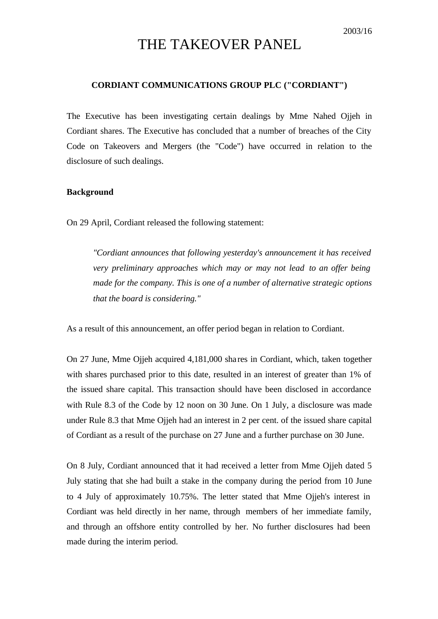# THE TAKEOVER PANEL

## **CORDIANT COMMUNICATIONS GROUP PLC ("CORDIANT")**

The Executive has been investigating certain dealings by Mme Nahed Ojjeh in Cordiant shares. The Executive has concluded that a number of breaches of the City Code on Takeovers and Mergers (the "Code") have occurred in relation to the disclosure of such dealings.

#### **Background**

On 29 April, Cordiant released the following statement:

*"Cordiant announces that following yesterday's announcement it has received very preliminary approaches which may or may not lead to an offer being made for the company. This is one of a number of alternative strategic options that the board is considering."*

As a result of this announcement, an offer period began in relation to Cordiant.

On 27 June, Mme Ojjeh acquired 4,181,000 sha res in Cordiant, which, taken together with shares purchased prior to this date, resulted in an interest of greater than 1% of the issued share capital. This transaction should have been disclosed in accordance with Rule 8.3 of the Code by 12 noon on 30 June. On 1 July, a disclosure was made under Rule 8.3 that Mme Ojjeh had an interest in 2 per cent. of the issued share capital of Cordiant as a result of the purchase on 27 June and a further purchase on 30 June.

On 8 July, Cordiant announced that it had received a letter from Mme Ojjeh dated 5 July stating that she had built a stake in the company during the period from 10 June to 4 July of approximately 10.75%. The letter stated that Mme Ojjeh's interest in Cordiant was held directly in her name, through members of her immediate family, and through an offshore entity controlled by her. No further disclosures had been made during the interim period.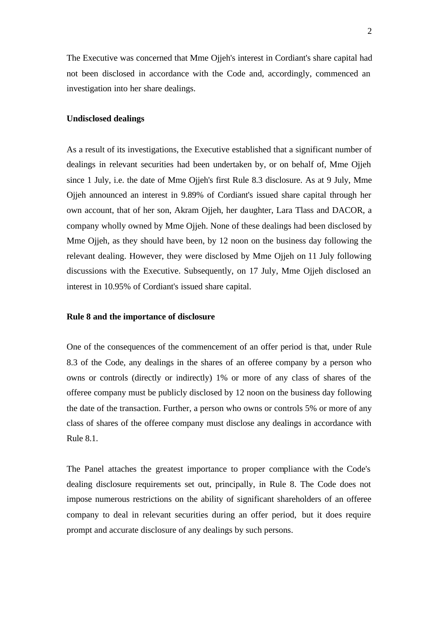The Executive was concerned that Mme Ojjeh's interest in Cordiant's share capital had not been disclosed in accordance with the Code and, accordingly, commenced an investigation into her share dealings.

### **Undisclosed dealings**

As a result of its investigations, the Executive established that a significant number of dealings in relevant securities had been undertaken by, or on behalf of, Mme Ojjeh since 1 July, i.e. the date of Mme Ojjeh's first Rule 8.3 disclosure. As at 9 July, Mme Ojjeh announced an interest in 9.89% of Cordiant's issued share capital through her own account, that of her son, Akram Ojjeh, her daughter, Lara Tlass and DACOR, a company wholly owned by Mme Ojjeh. None of these dealings had been disclosed by Mme Ojjeh, as they should have been, by 12 noon on the business day following the relevant dealing. However, they were disclosed by Mme Ojjeh on 11 July following discussions with the Executive. Subsequently, on 17 July, Mme Ojjeh disclosed an interest in 10.95% of Cordiant's issued share capital.

### **Rule 8 and the importance of disclosure**

One of the consequences of the commencement of an offer period is that, under Rule 8.3 of the Code, any dealings in the shares of an offeree company by a person who owns or controls (directly or indirectly) 1% or more of any class of shares of the offeree company must be publicly disclosed by 12 noon on the business day following the date of the transaction. Further, a person who owns or controls 5% or more of any class of shares of the offeree company must disclose any dealings in accordance with Rule 8.1.

The Panel attaches the greatest importance to proper compliance with the Code's dealing disclosure requirements set out, principally, in Rule 8. The Code does not impose numerous restrictions on the ability of significant shareholders of an offeree company to deal in relevant securities during an offer period, but it does require prompt and accurate disclosure of any dealings by such persons.